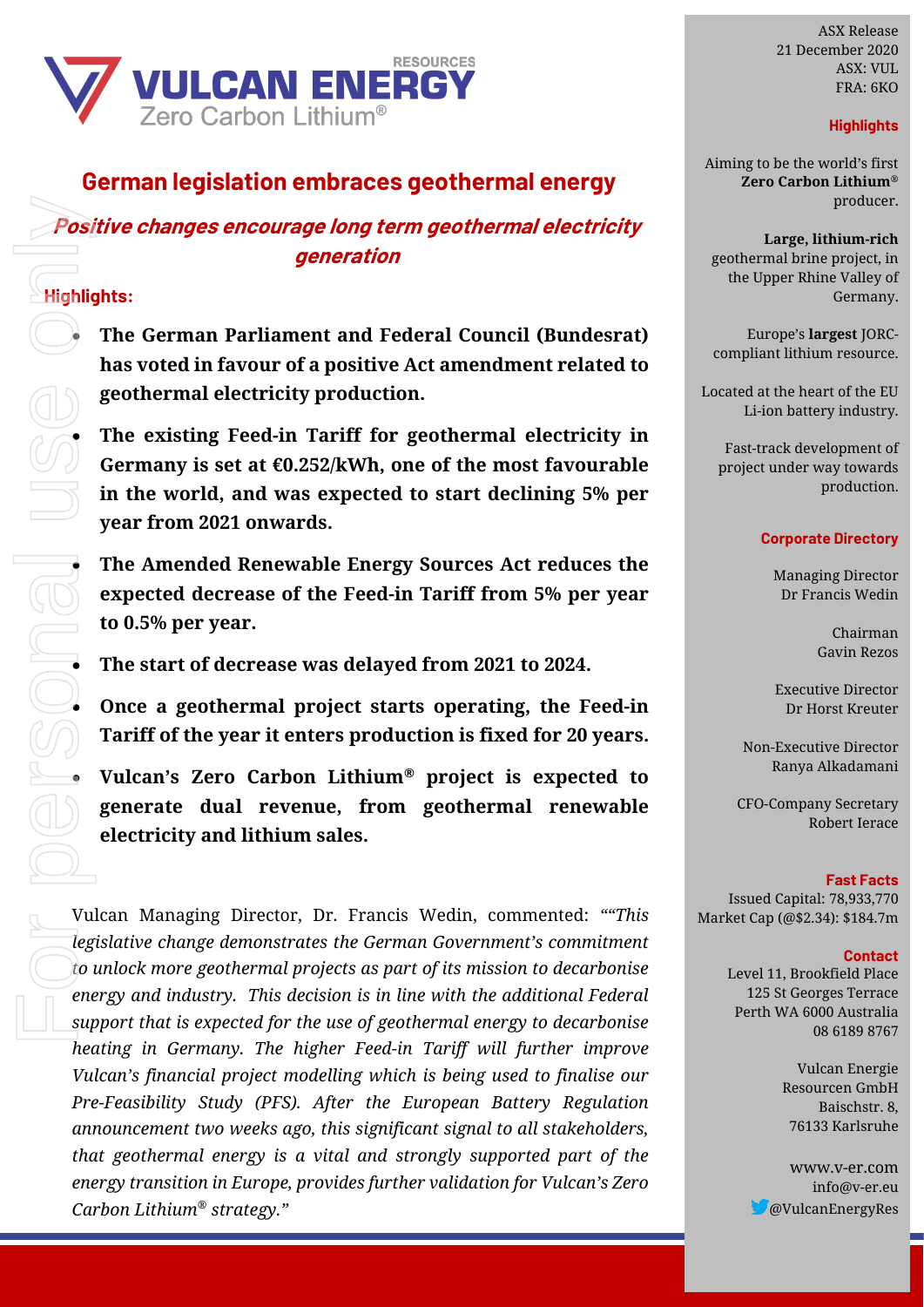

# **German legislation embraces geothermal energy**

## **Positive changes encourage long term geothermal electricity generation**

## **Highlights:**

• **The German Parliament and Federal Council (Bundesrat) has voted in favour of a positive Act amendment related to geothermal electricity production.**

• **The existing Feed-in Tariff for geothermal electricity in Germany is set at €0.252/kWh, one of the most favourable in the world, and was expected to start declining 5% per year from 2021 onwards.** 

• **The Amended Renewable Energy Sources Act reduces the expected decrease of the Feed-in Tariff from 5% per year to 0.5% per year.**

• **The start of decrease was delayed from 2021 to 2024.**

• **Once a geothermal project starts operating, the Feed-in Tariff of the year it enters production is fixed for 20 years.** 

• **Vulcan's Zero Carbon Lithium® project is expected to generate dual revenue, from geothermal renewable electricity and lithium sales.**

Vulcan Managing Director, Dr. Francis Wedin, commented: *""This legislative change demonstrates the German Government's commitment to unlock more geothermal projects as part of its mission to decarbonise energy and industry. This decision is in line with the additional Federal support that is expected for the use of geothermal energy to decarbonise heating in Germany. The higher Feed-in Tariff will further improve Vulcan's financial project modelling which is being used to finalise our Pre-Feasibility Study (PFS). After the European Battery Regulation announcement two weeks ago, this significant signal to all stakeholders, that geothermal energy is a vital and strongly supported part of the energy transition in Europe, provides further validation for Vulcan's Zero Carbon Lithium® strategy."* **Positive changes encourage long term geothermal electricity**<br> **Positive changes in the capital control of the control of the series only the German Parliament and Federal Council (Bundesta) content binding the same of th** 

ASX Release 21 December 2020 ASX: VUL FRA: 6KO

## **Highlights**

Aiming to be the world's first **Zero Carbon Lithium***®* producer.

**Large, lithium-rich** geothermal brine project, in the Upper Rhine Valley of Germany.

Europe's **largest** JORCcompliant lithium resource.

Located at the heart of the EU Li-ion battery industry.

Fast-track development of project under way towards production.

#### **Corporate Directory**

Managing Director Dr Francis Wedin

> Chairman Gavin Rezos

Executive Director Dr Horst Kreuter

Non-Executive Director Ranya Alkadamani

CFO-Company Secretary Robert Ierace

**Fast Facts** Issued Capital: 78,933,770 Market Cap (@\$2.34): \$184.7m

#### **Contact**

Level 11, Brookfield Place 125 St Georges Terrace Perth WA 6000 Australia 08 6189 8767

> Vulcan Energie Resourcen GmbH Baischstr. 8, 76133 Karlsruhe

www.v-er.com info@v-er.eu @VulcanEnergyRes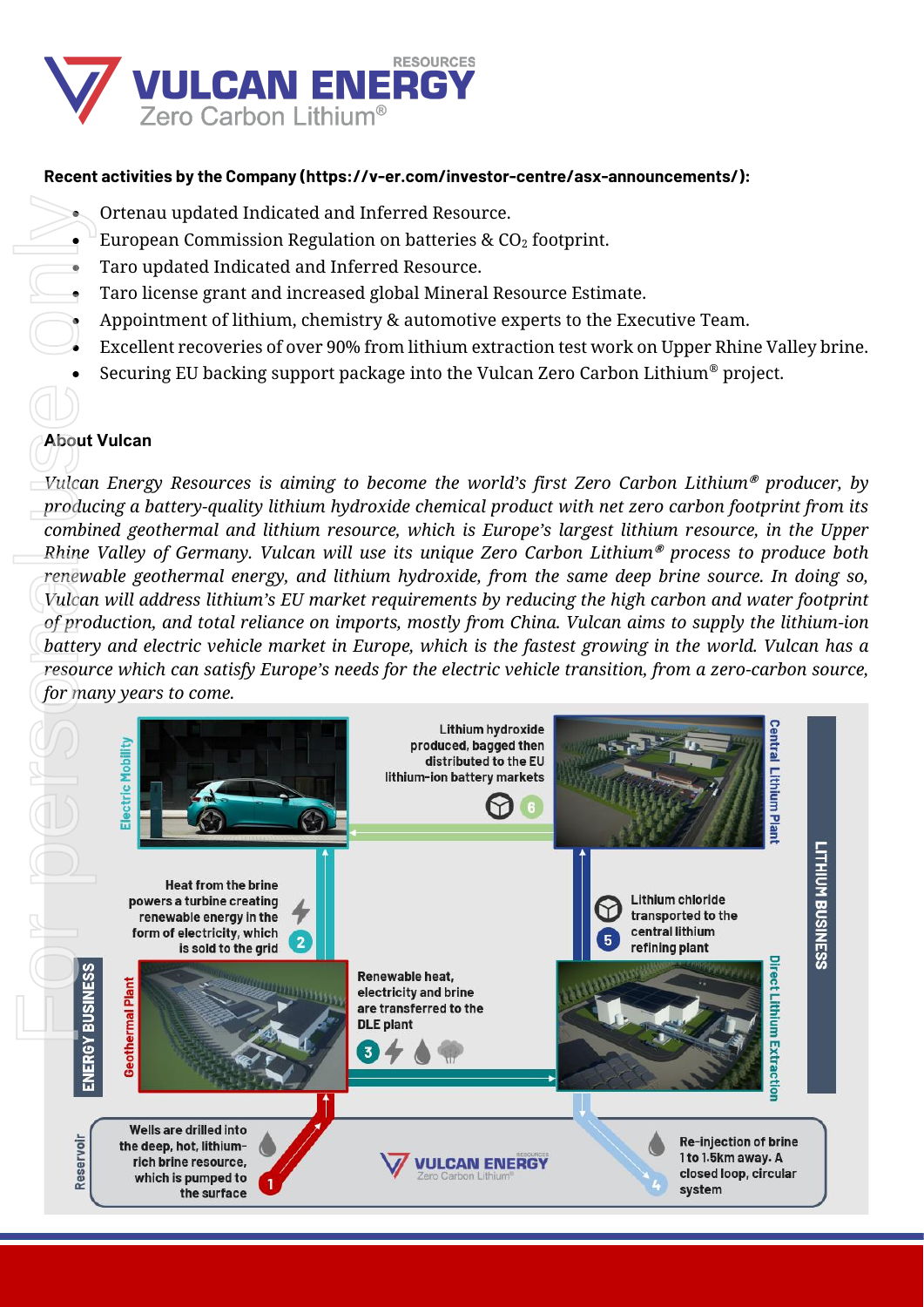

## **Recent activities by the Company (https://v-er.com/investor-centre/asx-announcements/):**

- Ortenau updated Indicated and Inferred Resource.
- European Commission Regulation on batteries  $\&$  CO<sub>2</sub> footprint.
- Taro updated Indicated and Inferred Resource.
- Taro license grant and increased global Mineral Resource Estimate.
- Appointment of lithium, chemistry & automotive experts to the Executive Team.
- Excellent recoveries of over 90% from lithium extraction test work on Upper Rhine Valley brine.
- Securing EU backing support package into the Vulcan Zero Carbon Lithium® project.

# **About Vulcan**

*Vulcan Energy Resources is aiming to become the world's first Zero Carbon Lithium***®** *producer, by producing a battery-quality lithium hydroxide chemical product with net zero carbon footprint from its combined geothermal and lithium resource, which is Europe's largest lithium resource, in the Upper Rhine Valley of Germany. Vulcan will use its unique Zero Carbon Lithium***®** *process to produce both renewable geothermal energy, and lithium hydroxide, from the same deep brine source. In doing so, Vulcan will address lithium's EU market requirements by reducing the high carbon and water footprint of production, and total reliance on imports, mostly from China. Vulcan aims to supply the lithium-ion battery and electric vehicle market in Europe, which is the fastest growing in the world. Vulcan has a resource which can satisfy Europe's needs for the electric vehicle transition, from a zero-carbon source,*